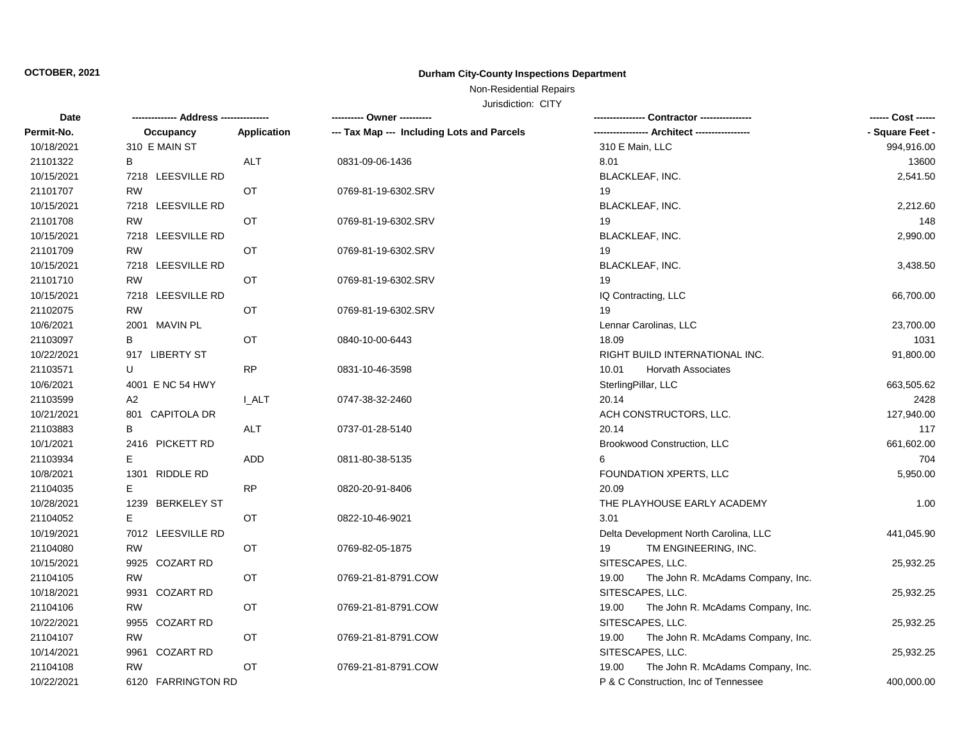## Non-Residential Repairs

| Date       |                          |              | ---------- Owner ----------                |                                            | ------ Cost ------ |
|------------|--------------------------|--------------|--------------------------------------------|--------------------------------------------|--------------------|
| Permit-No. | Occupancy                | Application  | --- Tax Map --- Including Lots and Parcels |                                            | - Square Feet -    |
| 10/18/2021 | 310 E MAIN ST            |              |                                            | 310 E Main, LLC                            | 994,916.00         |
| 21101322   | в                        | <b>ALT</b>   | 0831-09-06-1436                            | 8.01                                       | 13600              |
| 10/15/2021 | 7218 LEESVILLE RD        |              |                                            | BLACKLEAF, INC.                            | 2,541.50           |
| 21101707   | <b>RW</b>                | OT           | 0769-81-19-6302.SRV                        | 19                                         |                    |
| 10/15/2021 | 7218 LEESVILLE RD        |              |                                            | BLACKLEAF, INC.                            | 2,212.60           |
| 21101708   | RW                       | OT           | 0769-81-19-6302.SRV                        | 19                                         | 148                |
| 10/15/2021 | 7218 LEESVILLE RD        |              |                                            | BLACKLEAF, INC.                            | 2,990.00           |
| 21101709   | <b>RW</b>                | OT           | 0769-81-19-6302.SRV                        | 19                                         |                    |
| 10/15/2021 | 7218 LEESVILLE RD        |              |                                            | <b>BLACKLEAF, INC.</b>                     | 3,438.50           |
| 21101710   | <b>RW</b>                | OT           | 0769-81-19-6302.SRV                        | 19                                         |                    |
| 10/15/2021 | 7218 LEESVILLE RD        |              |                                            | IQ Contracting, LLC                        | 66,700.00          |
| 21102075   | <b>RW</b>                | OT           | 0769-81-19-6302.SRV                        | 19                                         |                    |
| 10/6/2021  | 2001<br>MAVIN PL         |              |                                            | Lennar Carolinas, LLC                      | 23,700.00          |
| 21103097   | В                        | OT           | 0840-10-00-6443                            | 18.09                                      | 1031               |
| 10/22/2021 | 917 LIBERTY ST           |              |                                            | RIGHT BUILD INTERNATIONAL INC.             | 91,800.00          |
| 21103571   | U                        | RP           | 0831-10-46-3598                            | 10.01<br><b>Horvath Associates</b>         |                    |
| 10/6/2021  | 4001 E NC 54 HWY         |              |                                            | SterlingPillar, LLC                        | 663,505.62         |
| 21103599   | A2                       | <b>I_ALT</b> | 0747-38-32-2460                            | 20.14                                      | 2428               |
| 10/21/2021 | 801 CAPITOLA DR          |              |                                            | ACH CONSTRUCTORS, LLC.                     | 127,940.00         |
| 21103883   | в                        | <b>ALT</b>   | 0737-01-28-5140                            | 20.14                                      | 117                |
| 10/1/2021  | 2416 PICKETT RD          |              |                                            | Brookwood Construction, LLC                | 661,602.00         |
| 21103934   | E                        | <b>ADD</b>   | 0811-80-38-5135                            | 6                                          | 704                |
| 10/8/2021  | 1301 RIDDLE RD           |              |                                            | FOUNDATION XPERTS, LLC                     | 5,950.00           |
| 21104035   | Е                        | <b>RP</b>    | 0820-20-91-8406                            | 20.09                                      |                    |
| 10/28/2021 | 1239 BERKELEY ST         |              |                                            | THE PLAYHOUSE EARLY ACADEMY                | 1.00               |
| 21104052   | E.                       | OT           | 0822-10-46-9021                            | 3.01                                       |                    |
| 10/19/2021 | 7012 LEESVILLE RD        |              |                                            | Delta Development North Carolina, LLC      | 441,045.90         |
| 21104080   | <b>RW</b>                | OT           | 0769-82-05-1875                            | 19<br>TM ENGINEERING, INC.                 |                    |
| 10/15/2021 | <b>COZART RD</b><br>9925 |              |                                            | SITESCAPES, LLC.                           | 25,932.25          |
| 21104105   | <b>RW</b>                | OT           | 0769-21-81-8791.COW                        | 19.00<br>The John R. McAdams Company, Inc. |                    |
| 10/18/2021 | <b>COZART RD</b><br>9931 |              |                                            | SITESCAPES, LLC.                           | 25,932.25          |
| 21104106   | <b>RW</b>                | OT           | 0769-21-81-8791.COW                        | 19.00<br>The John R. McAdams Company, Inc. |                    |
| 10/22/2021 | 9955<br><b>COZART RD</b> |              |                                            | SITESCAPES, LLC.                           | 25,932.25          |
| 21104107   | RW                       | OT           | 0769-21-81-8791.COW                        | 19.00<br>The John R. McAdams Company, Inc. |                    |
| 10/14/2021 | 9961<br><b>COZART RD</b> |              |                                            | SITESCAPES, LLC.                           | 25,932.25          |
| 21104108   | <b>RW</b>                | OT           | 0769-21-81-8791.COW                        | The John R. McAdams Company, Inc.<br>19.00 |                    |
| 10/22/2021 | 6120 FARRINGTON RD       |              |                                            | P & C Construction, Inc of Tennessee       | 400,000.00         |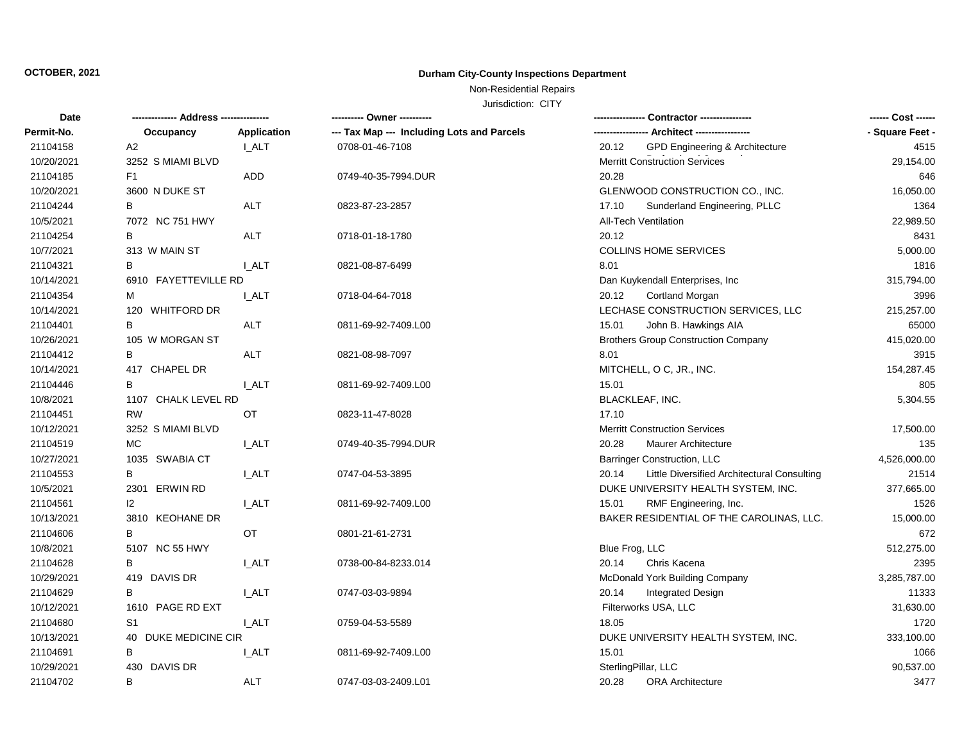## Non-Residential Repairs

| <b>Date</b> |                      |              | ---------- Owner ----------                |                                                      | ------ Cost ------ |
|-------------|----------------------|--------------|--------------------------------------------|------------------------------------------------------|--------------------|
| Permit-No.  | Occupancy            | Application  | --- Tax Map --- Including Lots and Parcels |                                                      | - Square Feet -    |
| 21104158    | A2                   | I ALT        | 0708-01-46-7108                            | GPD Engineering & Architecture<br>20.12              | 4515               |
| 10/20/2021  | 3252 S MIAMI BLVD    |              |                                            | <b>Merritt Construction Services</b>                 | 29,154.00          |
| 21104185    | F1                   | <b>ADD</b>   | 0749-40-35-7994.DUR                        | 20.28                                                | 646                |
| 10/20/2021  | 3600 N DUKE ST       |              |                                            | GLENWOOD CONSTRUCTION CO., INC.                      | 16,050.00          |
| 21104244    | В                    | <b>ALT</b>   | 0823-87-23-2857                            | 17.10<br>Sunderland Engineering, PLLC                | 1364               |
| 10/5/2021   | 7072 NC 751 HWY      |              |                                            | All-Tech Ventilation                                 | 22,989.50          |
| 21104254    | в                    | ALT          | 0718-01-18-1780                            | 20.12                                                | 8431               |
| 10/7/2021   | 313 W MAIN ST        |              |                                            | <b>COLLINS HOME SERVICES</b>                         | 5,000.00           |
| 21104321    | в                    | I ALT        | 0821-08-87-6499                            | 8.01                                                 | 1816               |
| 10/14/2021  | 6910 FAYETTEVILLE RD |              |                                            | Dan Kuykendall Enterprises, Inc                      | 315,794.00         |
| 21104354    | М                    | I ALT        | 0718-04-64-7018                            | 20.12<br>Cortland Morgan                             | 3996               |
| 10/14/2021  | 120 WHITFORD DR      |              |                                            | LECHASE CONSTRUCTION SERVICES, LLC                   | 215,257.00         |
| 21104401    | B                    | ALT          | 0811-69-92-7409.L00                        | 15.01<br>John B. Hawkings AIA                        | 65000              |
| 10/26/2021  | 105 W MORGAN ST      |              |                                            | <b>Brothers Group Construction Company</b>           | 415,020.00         |
| 21104412    | В                    | ALT          | 0821-08-98-7097                            | 8.01                                                 | 3915               |
| 10/14/2021  | 417 CHAPEL DR        |              |                                            | MITCHELL, O C, JR., INC.                             | 154,287.45         |
| 21104446    | в                    | I ALT        | 0811-69-92-7409.L00                        | 15.01                                                | 805                |
| 10/8/2021   | 1107 CHALK LEVEL RD  |              |                                            | <b>BLACKLEAF, INC.</b>                               | 5,304.55           |
| 21104451    | <b>RW</b>            | OT           | 0823-11-47-8028                            | 17.10                                                |                    |
| 10/12/2021  | 3252 S MIAMI BLVD    |              |                                            | <b>Merritt Construction Services</b>                 | 17,500.00          |
| 21104519    | <b>MC</b>            | I ALT        | 0749-40-35-7994.DUR                        | 20.28<br><b>Maurer Architecture</b>                  | 135                |
| 10/27/2021  | 1035 SWABIA CT       |              |                                            | Barringer Construction, LLC                          | 4,526,000.00       |
| 21104553    | В                    | <b>I_ALT</b> | 0747-04-53-3895                            | Little Diversified Architectural Consulting<br>20.14 | 21514              |
| 10/5/2021   | 2301 ERWIN RD        |              |                                            | DUKE UNIVERSITY HEALTH SYSTEM, INC.                  | 377,665.00         |
| 21104561    | 12                   | <b>I_ALT</b> | 0811-69-92-7409.L00                        | RMF Engineering, Inc.<br>15.01                       | 1526               |
| 10/13/2021  | 3810 KEOHANE DR      |              |                                            | BAKER RESIDENTIAL OF THE CAROLINAS, LLC.             | 15,000.00          |
| 21104606    | B                    | OT           | 0801-21-61-2731                            |                                                      | 672                |
| 10/8/2021   | 5107 NC 55 HWY       |              |                                            | Blue Frog, LLC                                       | 512,275.00         |
| 21104628    | B                    | <b>I_ALT</b> | 0738-00-84-8233.014                        | 20.14<br>Chris Kacena                                | 2395               |
| 10/29/2021  | 419 DAVIS DR         |              |                                            | McDonald York Building Company                       | 3,285,787.00       |
| 21104629    | в                    | <b>I_ALT</b> | 0747-03-03-9894                            | 20.14<br><b>Integrated Design</b>                    | 11333              |
| 10/12/2021  | 1610 PAGE RD EXT     |              |                                            | Filterworks USA, LLC                                 | 31,630.00          |
| 21104680    | S1                   | <b>L_ALT</b> | 0759-04-53-5589                            | 18.05                                                | 1720               |
| 10/13/2021  | 40 DUKE MEDICINE CIR |              |                                            | DUKE UNIVERSITY HEALTH SYSTEM, INC.                  | 333,100.00         |
| 21104691    | в                    | I ALT        | 0811-69-92-7409.L00                        | 15.01                                                | 1066               |
| 10/29/2021  | 430 DAVIS DR         |              |                                            | SterlingPillar, LLC                                  | 90,537.00          |
| 21104702    | B                    | ALT          | 0747-03-03-2409.L01                        | 20.28<br><b>ORA Architecture</b>                     | 3477               |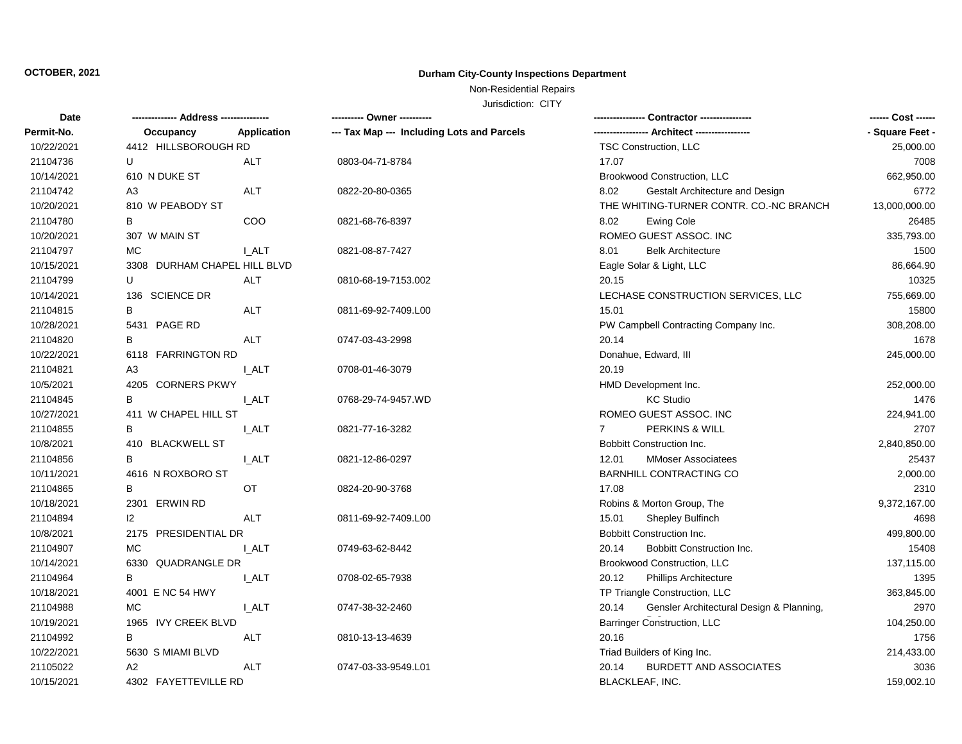## Non-Residential Repairs

| Date       |                              |              | --------- Owner ---------                  | -- Contractor ----------------                    | ------ Cost ------ |
|------------|------------------------------|--------------|--------------------------------------------|---------------------------------------------------|--------------------|
| Permit-No. | Occupancy                    | Application  | --- Tax Map --- Including Lots and Parcels |                                                   | - Square Feet -    |
| 10/22/2021 | 4412 HILLSBOROUGH RD         |              |                                            | TSC Construction, LLC                             | 25,000.00          |
| 21104736   | U                            | ALT          | 0803-04-71-8784                            | 17.07                                             | 7008               |
| 10/14/2021 | 610 N DUKE ST                |              |                                            | Brookwood Construction, LLC                       | 662,950.00         |
| 21104742   | A <sub>3</sub>               | ALT          | 0822-20-80-0365                            | 8.02<br>Gestalt Architecture and Design           | 6772               |
| 10/20/2021 | 810 W PEABODY ST             |              |                                            | THE WHITING-TURNER CONTR. CO.-NC BRANCH           | 13,000,000.00      |
| 21104780   | В                            | COO          | 0821-68-76-8397                            | 8.02<br><b>Ewing Cole</b>                         | 26485              |
| 10/20/2021 | 307 W MAIN ST                |              |                                            | ROMEO GUEST ASSOC. INC                            | 335,793.00         |
| 21104797   | MC.                          | I ALT        | 0821-08-87-7427                            | <b>Belk Architecture</b><br>8.01                  | 1500               |
| 10/15/2021 | 3308 DURHAM CHAPEL HILL BLVD |              |                                            | Eagle Solar & Light, LLC                          | 86,664.90          |
| 21104799   | U                            | ALT          | 0810-68-19-7153.002                        | 20.15                                             | 10325              |
| 10/14/2021 | 136 SCIENCE DR               |              |                                            | LECHASE CONSTRUCTION SERVICES, LLC                | 755,669.00         |
| 21104815   | В                            | <b>ALT</b>   | 0811-69-92-7409.L00                        | 15.01                                             | 15800              |
| 10/28/2021 | 5431 PAGE RD                 |              |                                            | PW Campbell Contracting Company Inc.              | 308,208.00         |
| 21104820   | B                            | <b>ALT</b>   | 0747-03-43-2998                            | 20.14                                             | 1678               |
| 10/22/2021 | 6118 FARRINGTON RD           |              |                                            | Donahue, Edward, III                              | 245,000.00         |
| 21104821   | A3                           | <b>I_ALT</b> | 0708-01-46-3079                            | 20.19                                             |                    |
| 10/5/2021  | 4205 CORNERS PKWY            |              |                                            | HMD Development Inc.                              | 252,000.00         |
| 21104845   | B                            | I_ALT        | 0768-29-74-9457.WD                         | <b>KC Studio</b>                                  | 1476               |
| 10/27/2021 | 411 W CHAPEL HILL ST         |              |                                            | ROMEO GUEST ASSOC. INC                            | 224,941.00         |
| 21104855   | B                            | I_ALT        | 0821-77-16-3282                            | PERKINS & WILL<br>$\overline{7}$                  | 2707               |
| 10/8/2021  | 410 BLACKWELL ST             |              |                                            | <b>Bobbitt Construction Inc.</b>                  | 2,840,850.00       |
| 21104856   | B                            | I ALT        | 0821-12-86-0297                            | <b>MMoser Associatees</b><br>12.01                | 25437              |
| 10/11/2021 | 4616 N ROXBORO ST            |              |                                            | BARNHILL CONTRACTING CO                           | 2,000.00           |
| 21104865   | B                            | OT.          | 0824-20-90-3768                            | 17.08                                             | 2310               |
| 10/18/2021 | 2301 ERWIN RD                |              |                                            | Robins & Morton Group, The                        | 9,372,167.00       |
| 21104894   | $\mathsf{I2}$                | <b>ALT</b>   | 0811-69-92-7409.L00                        | 15.01<br>Shepley Bulfinch                         | 4698               |
| 10/8/2021  | 2175 PRESIDENTIAL DR         |              |                                            | Bobbitt Construction Inc.                         | 499,800.00         |
| 21104907   | <b>MC</b>                    | I_ALT        | 0749-63-62-8442                            | 20.14<br>Bobbitt Construction Inc.                | 15408              |
| 10/14/2021 | 6330 QUADRANGLE DR           |              |                                            | Brookwood Construction, LLC                       | 137,115.00         |
| 21104964   | B                            | I ALT        | 0708-02-65-7938                            | 20.12<br><b>Phillips Architecture</b>             | 1395               |
| 10/18/2021 | 4001 E NC 54 HWY             |              |                                            | TP Triangle Construction, LLC                     | 363,845.00         |
| 21104988   | <b>MC</b>                    | I ALT        | 0747-38-32-2460                            | Gensler Architectural Design & Planning,<br>20.14 | 2970               |
| 10/19/2021 | 1965 IVY CREEK BLVD          |              |                                            | <b>Barringer Construction, LLC</b>                | 104,250.00         |
| 21104992   | B                            | <b>ALT</b>   | 0810-13-13-4639                            | 20.16                                             | 1756               |
| 10/22/2021 | 5630 S MIAMI BLVD            |              |                                            | Triad Builders of King Inc.                       | 214,433.00         |
| 21105022   | A2                           | ALT          | 0747-03-33-9549.L01                        | <b>BURDETT AND ASSOCIATES</b><br>20.14            | 3036               |
| 10/15/2021 | 4302 FAYETTEVILLE RD         |              |                                            | <b>BLACKLEAF, INC.</b>                            | 159,002.10         |